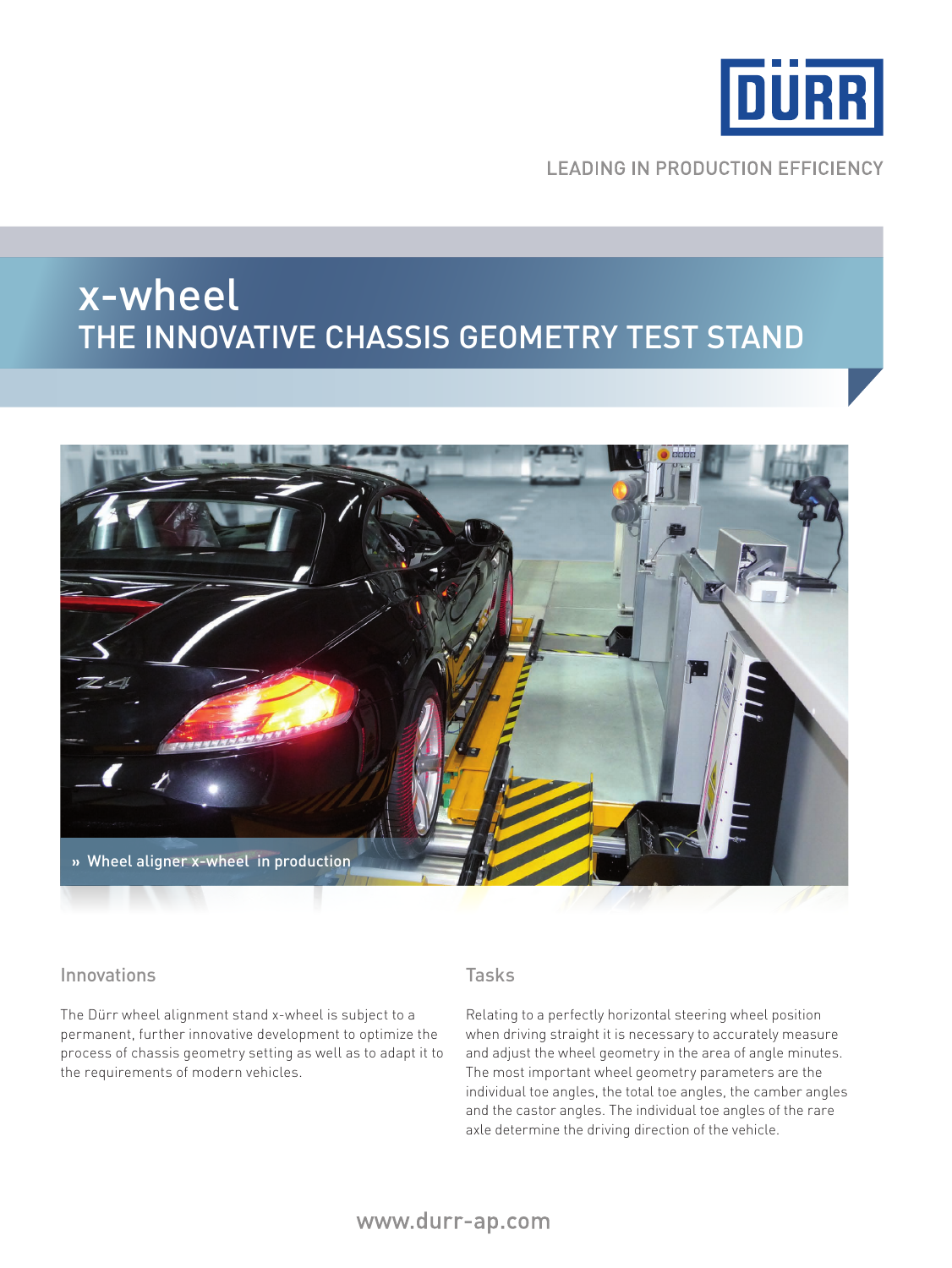

**LEADING IN PRODUCTION EFFICIENCY** 

# x-wheel The INNOVATIVE CHASSIS GEOMETRY TEST STAND



#### Innovations

The Dürr wheel alignment stand x-wheel is subject to a permanent, further innovative development to optimize the process of chassis geometry setting as well as to adapt it to the requirements of modern vehicles.

## Tasks

Relating to a perfectly horizontal steering wheel position when driving straight it is necessary to accurately measure and adjust the wheel geometry in the area of angle minutes. The most important wheel geometry parameters are the individual toe angles, the total toe angles, the camber angles and the castor angles. The individual toe angles of the rare axle determine the driving direction of the vehicle.